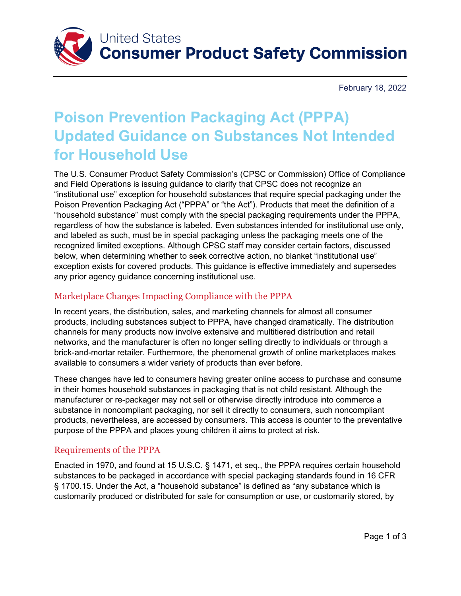

February 18, 2022

# **Poison Prevention Packaging Act (PPPA) Updated Guidance on Substances Not Intended for Household Use**

The U.S. Consumer Product Safety Commission's (CPSC or Commission) Office of Compliance and Field Operations is issuing guidance to clarify that CPSC does not recognize an "institutional use" exception for household substances that require special packaging under the Poison Prevention Packaging Act ("PPPA" or "the Act"). Products that meet the definition of a "household substance" must comply with the special packaging requirements under the PPPA, regardless of how the substance is labeled. Even substances intended for institutional use only, and labeled as such, must be in special packaging unless the packaging meets one of the recognized limited exceptions. Although CPSC staff may consider certain factors, discussed below, when determining whether to seek corrective action, no blanket "institutional use" exception exists for covered products. This guidance is effective immediately and supersedes any prior agency guidance concerning institutional use.

### Marketplace Changes Impacting Compliance with the PPPA

In recent years, the distribution, sales, and marketing channels for almost all consumer products, including substances subject to PPPA, have changed dramatically. The distribution channels for many products now involve extensive and multitiered distribution and retail networks, and the manufacturer is often no longer selling directly to individuals or through a brick-and-mortar retailer. Furthermore, the phenomenal growth of online marketplaces makes available to consumers a wider variety of products than ever before.

These changes have led to consumers having greater online access to purchase and consume in their homes household substances in packaging that is not child resistant. Although the manufacturer or re-packager may not sell or otherwise directly introduce into commerce a substance in noncompliant packaging, nor sell it directly to consumers, such noncompliant products, nevertheless, are accessed by consumers. This access is counter to the preventative purpose of the PPPA and places young children it aims to protect at risk.

#### Requirements of the PPPA

Enacted in 1970, and found at 15 U.S.C. § 1471, et seq., the PPPA requires certain household substances to be packaged in accordance with special packaging standards found in 16 CFR § 1700.15. Under the Act, a "household substance" is defined as "any substance which is customarily produced or distributed for sale for consumption or use, or customarily stored, by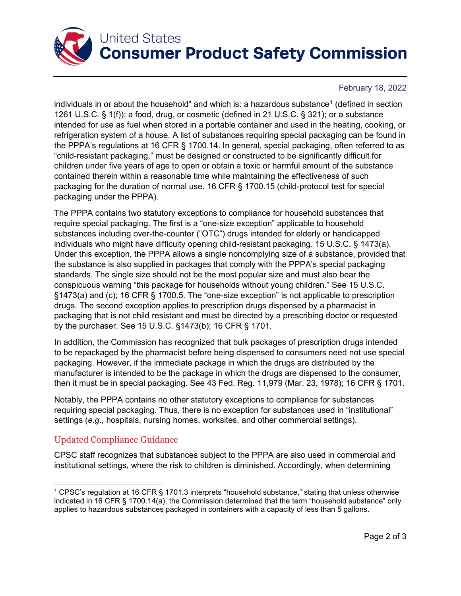

# **United States Consumer Product Safety Commission**

#### February 18, 2022

individuals in or about the household" and which is: a hazardous substance<sup>[1](#page-1-0)</sup> (defined in section 1261 U.S.C. § 1(f)); a food, drug, or cosmetic (defined in 21 U.S.C. § 321); or a substance intended for use as fuel when stored in a portable container and used in the heating, cooking, or refrigeration system of a house. A list of substances requiring special packaging can be found in the PPPA's regulations at 16 CFR § 1700.14. In general, special packaging, often referred to as "child-resistant packaging," must be designed or constructed to be significantly difficult for children under five years of age to open or obtain a toxic or harmful amount of the substance contained therein within a reasonable time while maintaining the effectiveness of such packaging for the duration of normal use. 16 CFR § 1700.15 (child-protocol test for special packaging under the PPPA).

The PPPA contains two statutory exceptions to compliance for household substances that require special packaging. The first is a "one-size exception" applicable to household substances including over-the-counter ("OTC") drugs intended for elderly or handicapped individuals who might have difficulty opening child-resistant packaging. 15 U.S.C. § 1473(a). Under this exception, the PPPA allows a single noncomplying size of a substance, provided that the substance is also supplied in packages that comply with the PPPA's special packaging standards. The single size should not be the most popular size and must also bear the conspicuous warning "this package for households without young children." See 15 U.S.C. §1473(a) and (c); 16 CFR § 1700.5. The "one-size exception" is not applicable to prescription drugs. The second exception applies to prescription drugs dispensed by a pharmacist in packaging that is not child resistant and must be directed by a prescribing doctor or requested by the purchaser. See 15 U.S.C. §1473(b); 16 CFR § 1701.

In addition, the Commission has recognized that bulk packages of prescription drugs intended to be repackaged by the pharmacist before being dispensed to consumers need not use special packaging. However, if the immediate package in which the drugs are distributed by the manufacturer is intended to be the package in which the drugs are dispensed to the consumer, then it must be in special packaging. See 43 Fed. Reg. 11,979 (Mar. 23, 1978); 16 CFR § 1701.

Notably, the PPPA contains no other statutory exceptions to compliance for substances requiring special packaging. Thus, there is no exception for substances used in "institutional" settings (*e.g*., hospitals, nursing homes, worksites, and other commercial settings).

## Updated Compliance Guidance

CPSC staff recognizes that substances subject to the PPPA are also used in commercial and institutional settings, where the risk to children is diminished. Accordingly, when determining

<span id="page-1-0"></span><sup>1</sup> CPSC's regulation at 16 CFR § 1701.3 interprets "household substance," stating that unless otherwise indicated in 16 CFR § 1700.14(a), the Commission determined that the term "household substance" only applies to hazardous substances packaged in containers with a capacity of less than 5 gallons.